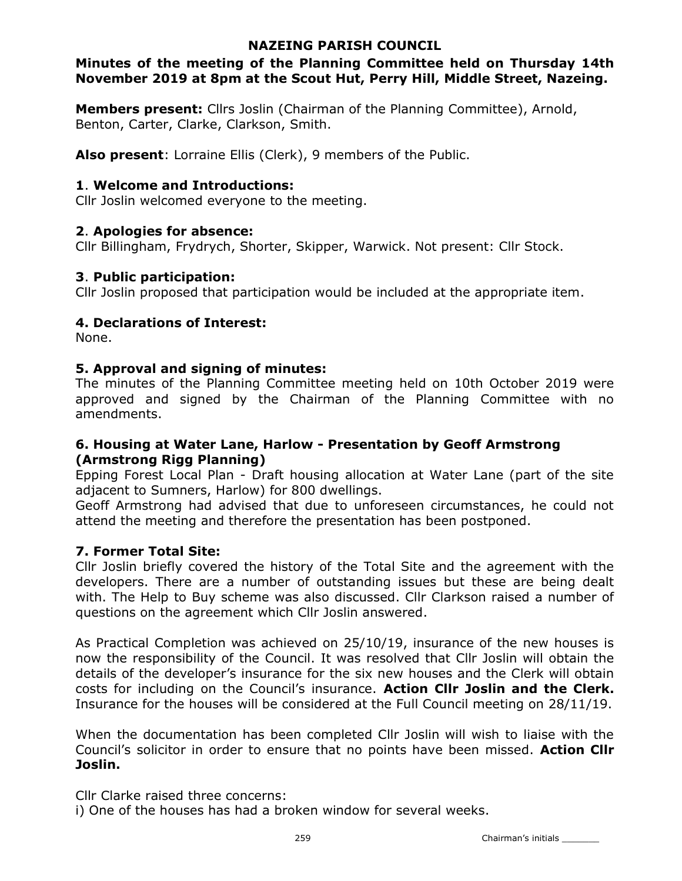### NAZEING PARISH COUNCIL

## Minutes of the meeting of the Planning Committee held on Thursday 14th November 2019 at 8pm at the Scout Hut, Perry Hill, Middle Street, Nazeing.

Members present: Cllrs Joslin (Chairman of the Planning Committee), Arnold, Benton, Carter, Clarke, Clarkson, Smith.

Also present: Lorraine Ellis (Clerk), 9 members of the Public.

# 1. Welcome and Introductions:

Cllr Joslin welcomed everyone to the meeting.

# 2. Apologies for absence:

Cllr Billingham, Frydrych, Shorter, Skipper, Warwick. Not present: Cllr Stock.

### 3. Public participation:

Cllr Joslin proposed that participation would be included at the appropriate item.

# 4. Declarations of Interest:

None.

### 5. Approval and signing of minutes:

The minutes of the Planning Committee meeting held on 10th October 2019 were approved and signed by the Chairman of the Planning Committee with no amendments.

### 6. Housing at Water Lane, Harlow - Presentation by Geoff Armstrong (Armstrong Rigg Planning)

Epping Forest Local Plan - Draft housing allocation at Water Lane (part of the site adjacent to Sumners, Harlow) for 800 dwellings.

Geoff Armstrong had advised that due to unforeseen circumstances, he could not attend the meeting and therefore the presentation has been postponed.

# 7. Former Total Site:

Cllr Joslin briefly covered the history of the Total Site and the agreement with the developers. There are a number of outstanding issues but these are being dealt with. The Help to Buy scheme was also discussed. Cllr Clarkson raised a number of questions on the agreement which Cllr Joslin answered.

As Practical Completion was achieved on 25/10/19, insurance of the new houses is now the responsibility of the Council. It was resolved that Cllr Joslin will obtain the details of the developer's insurance for the six new houses and the Clerk will obtain costs for including on the Council's insurance. Action Cllr Joslin and the Clerk. Insurance for the houses will be considered at the Full Council meeting on 28/11/19.

When the documentation has been completed Cllr Joslin will wish to liaise with the Council's solicitor in order to ensure that no points have been missed. Action Cllr Joslin.

Cllr Clarke raised three concerns:

i) One of the houses has had a broken window for several weeks.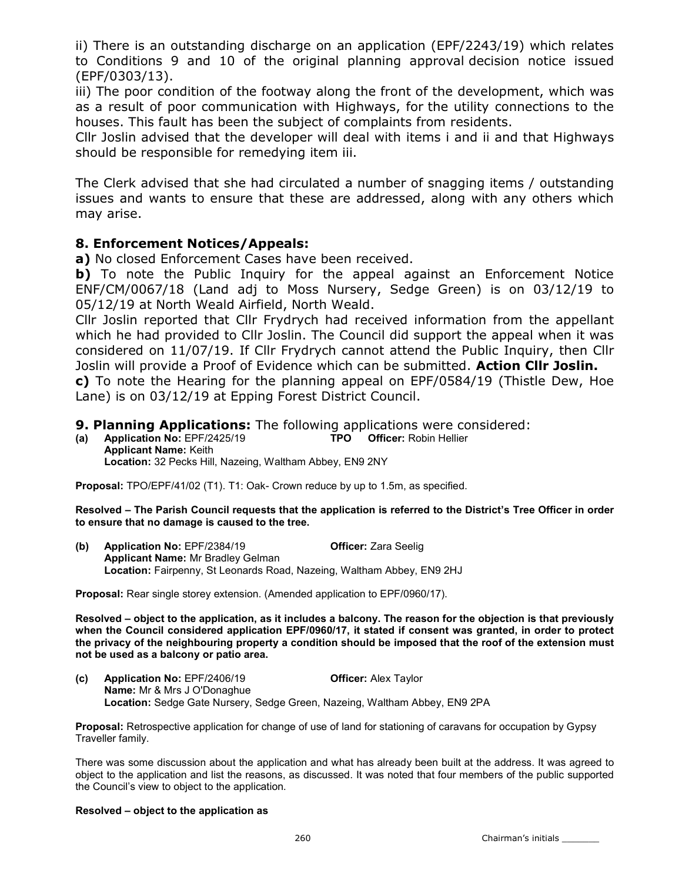ii) There is an outstanding discharge on an application (EPF/2243/19) which relates to Conditions 9 and 10 of the original planning approval decision notice issued (EPF/0303/13).

iii) The poor condition of the footway along the front of the development, which was as a result of poor communication with Highways, for the utility connections to the houses. This fault has been the subject of complaints from residents.

Cllr Joslin advised that the developer will deal with items i and ii and that Highways should be responsible for remedying item iii.

The Clerk advised that she had circulated a number of snagging items / outstanding issues and wants to ensure that these are addressed, along with any others which may arise.

### 8. Enforcement Notices/Appeals:

a) No closed Enforcement Cases have been received.

b) To note the Public Inquiry for the appeal against an Enforcement Notice ENF/CM/0067/18 (Land adj to Moss Nursery, Sedge Green) is on 03/12/19 to 05/12/19 at North Weald Airfield, North Weald.

Cllr Joslin reported that Cllr Frydrych had received information from the appellant which he had provided to Cllr Joslin. The Council did support the appeal when it was considered on 11/07/19. If Cllr Frydrych cannot attend the Public Inquiry, then Cllr Joslin will provide a Proof of Evidence which can be submitted. Action Cllr Joslin. c) To note the Hearing for the planning appeal on EPF/0584/19 (Thistle Dew, Hoe Lane) is on 03/12/19 at Epping Forest District Council.

### 9. Planning Applications: The following applications were considered:

(a) Application No: EPF/2425/19 TPO Officer: Robin Hellier Applicant Name: Keith Location: 32 Pecks Hill, Nazeing, Waltham Abbey, EN9 2NY

Proposal: TPO/EPF/41/02 (T1). T1: Oak- Crown reduce by up to 1.5m, as specified.

Resolved – The Parish Council requests that the application is referred to the District's Tree Officer in order to ensure that no damage is caused to the tree.

(b) Application No: EPF/2384/19 Officer: Zara Seelig Applicant Name: Mr Bradley Gelman Location: Fairpenny, St Leonards Road, Nazeing, Waltham Abbey, EN9 2HJ

Proposal: Rear single storey extension. (Amended application to EPF/0960/17).

Resolved – object to the application, as it includes a balcony. The reason for the objection is that previously when the Council considered application EPF/0960/17, it stated if consent was granted, in order to protect the privacy of the neighbouring property a condition should be imposed that the roof of the extension must not be used as a balcony or patio area.

(c) Application No: EPF/2406/19 **Officer:** Alex Taylor Name: Mr & Mrs J O'Donaghue Location: Sedge Gate Nursery, Sedge Green, Nazeing, Waltham Abbey, EN9 2PA

Proposal: Retrospective application for change of use of land for stationing of caravans for occupation by Gypsy Traveller family.

There was some discussion about the application and what has already been built at the address. It was agreed to object to the application and list the reasons, as discussed. It was noted that four members of the public supported the Council's view to object to the application.

#### Resolved – object to the application as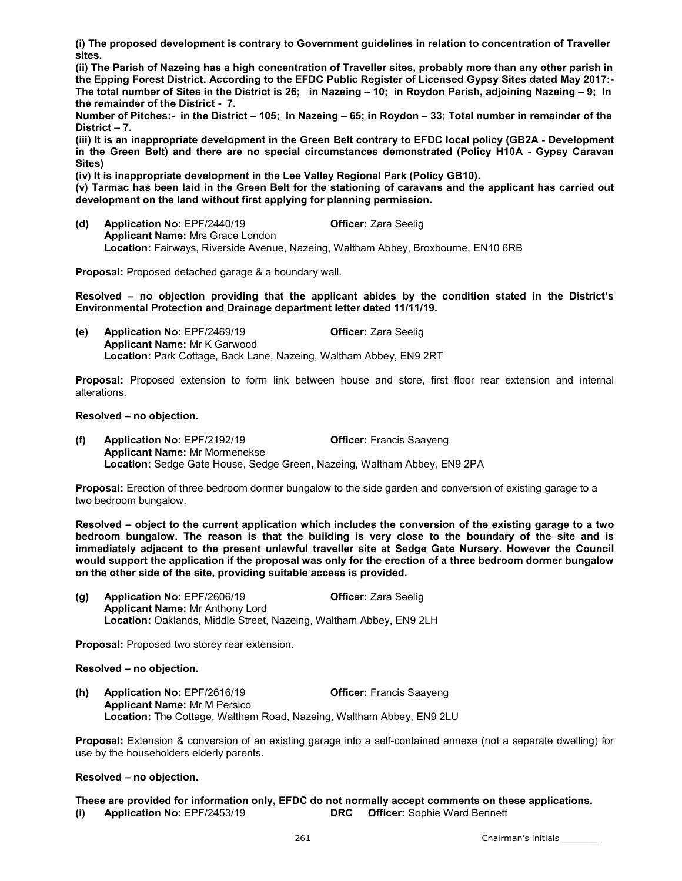(i) The proposed development is contrary to Government guidelines in relation to concentration of Traveller sites.

(ii) The Parish of Nazeing has a high concentration of Traveller sites, probably more than any other parish in the Epping Forest District. According to the EFDC Public Register of Licensed Gypsy Sites dated May 2017:- The total number of Sites in the District is 26; in Nazeing – 10; in Roydon Parish, adjoining Nazeing – 9; In the remainder of the District - 7.

Number of Pitches:- in the District – 105; In Nazeing – 65; in Roydon – 33; Total number in remainder of the District – 7.

(iii) It is an inappropriate development in the Green Belt contrary to EFDC local policy (GB2A - Development in the Green Belt) and there are no special circumstances demonstrated (Policy H10A - Gypsy Caravan Sites)

(iv) It is inappropriate development in the Lee Valley Regional Park (Policy GB10).

(v) Tarmac has been laid in the Green Belt for the stationing of caravans and the applicant has carried out development on the land without first applying for planning permission.

(d) Application No: EPF/2440/19 Officer: Zara Seelig Applicant Name: Mrs Grace London Location: Fairways, Riverside Avenue, Nazeing, Waltham Abbey, Broxbourne, EN10 6RB

Proposal: Proposed detached garage & a boundary wall.

Resolved – no objection providing that the applicant abides by the condition stated in the District's Environmental Protection and Drainage department letter dated 11/11/19.

(e) Application No: EPF/2469/19 Officer: Zara Seelig Applicant Name: Mr K Garwood Location: Park Cottage, Back Lane, Nazeing, Waltham Abbey, EN9 2RT

Proposal: Proposed extension to form link between house and store, first floor rear extension and internal alterations.

#### Resolved – no objection.

(f) Application No: EPF/2192/19 Officer: Francis Saayeng Applicant Name: Mr Mormenekse Location: Sedge Gate House, Sedge Green, Nazeing, Waltham Abbey, EN9 2PA

Proposal: Erection of three bedroom dormer bungalow to the side garden and conversion of existing garage to a two bedroom bungalow.

Resolved – object to the current application which includes the conversion of the existing garage to a two bedroom bungalow. The reason is that the building is very close to the boundary of the site and is immediately adjacent to the present unlawful traveller site at Sedge Gate Nursery. However the Council would support the application if the proposal was only for the erection of a three bedroom dormer bungalow on the other side of the site, providing suitable access is provided.

(g) Application No: EPF/2606/19 **Officer:** Zara Seelig Applicant Name: Mr Anthony Lord Location: Oaklands, Middle Street, Nazeing, Waltham Abbey, EN9 2LH

Proposal: Proposed two storey rear extension.

#### Resolved – no objection.

(h) Application No: EPF/2616/19 Officer: Francis Saayeng Applicant Name: Mr M Persico Location: The Cottage, Waltham Road, Nazeing, Waltham Abbey, EN9 2LU

Proposal: Extension & conversion of an existing garage into a self-contained annexe (not a separate dwelling) for use by the householders elderly parents.

#### Resolved – no objection.

These are provided for information only, EFDC do not normally accept comments on these applications. (i) Application No: EPF/2453/19 DRC Officer: Sophie Ward Bennett